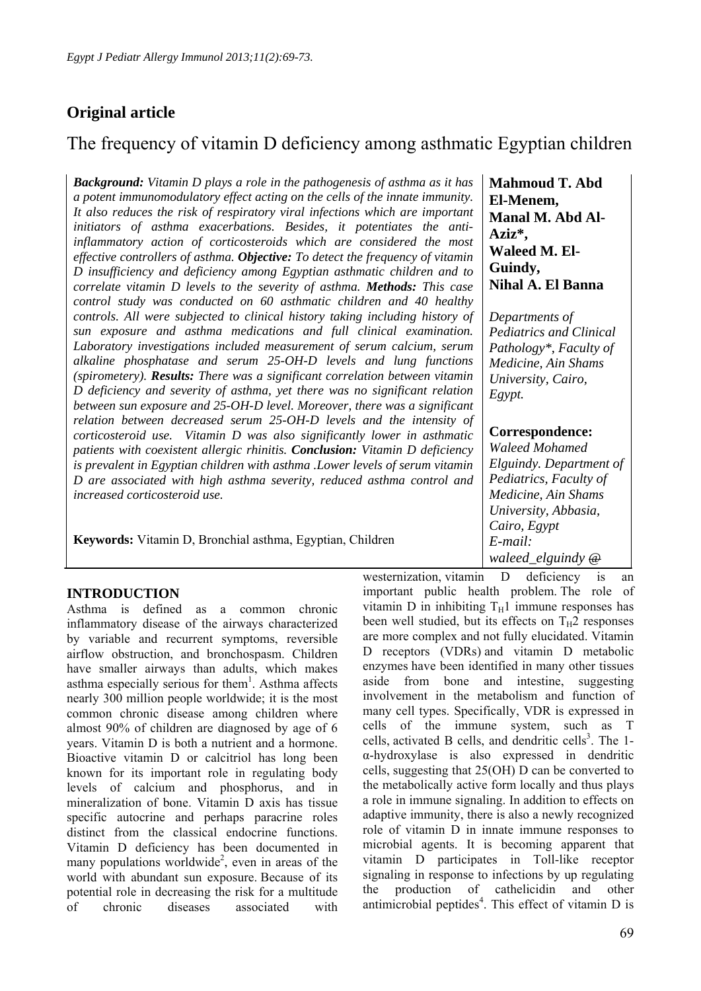## **Original article**

# The frequency of vitamin D deficiency among asthmatic Egyptian children

*Background: Vitamin D plays a role in the pathogenesis of asthma as it has a potent immunomodulatory effect acting on the cells of the innate immunity. It also reduces the risk of respiratory viral infections which are important initiators of asthma exacerbations. Besides, it potentiates the antiinflammatory action of corticosteroids which are considered the most effective controllers of asthma. Objective: To detect the frequency of vitamin D insufficiency and deficiency among Egyptian asthmatic children and to correlate vitamin D levels to the severity of asthma. Methods: This case control study was conducted on 60 asthmatic children and 40 healthy controls. All were subjected to clinical history taking including history of sun exposure and asthma medications and full clinical examination. Laboratory investigations included measurement of serum calcium, serum alkaline phosphatase and serum 25-OH-D levels and lung functions (spirometery). Results: There was a significant correlation between vitamin D deficiency and severity of asthma, yet there was no significant relation between sun exposure and 25-OH-D level. Moreover, there was a significant relation between decreased serum 25-OH-D levels and the intensity of corticosteroid use. Vitamin D was also significantly lower in asthmatic patients with coexistent allergic rhinitis. Conclusion: Vitamin D deficiency is prevalent in Egyptian children with asthma .Lower levels of serum vitamin D are associated with high asthma severity, reduced asthma control and increased corticosteroid use.*

**Keywords:** Vitamin D, Bronchial asthma, Egyptian, Children

## **INTRODUCTION**

Asthma is defined as a common chronic inflammatory disease of the airways characterized by variable and recurrent symptoms, reversible airflow obstruction, and bronchospasm. Children have smaller airways than adults, which makes asthma especially serious for them<sup>1</sup>. Asthma affects nearly 300 million people worldwide; it is the most common chronic disease among children where almost 90% of children are diagnosed by age of 6 years. Vitamin D is both a nutrient and a hormone. Bioactive vitamin D or calcitriol has long been known for its important role in regulating body levels of calcium and phosphorus, and in mineralization of bone. Vitamin D axis has tissue specific autocrine and perhaps paracrine roles distinct from the classical endocrine functions. Vitamin D deficiency has been documented in many populations worldwide<sup>2</sup>, even in areas of the world with abundant sun exposure. Because of its potential role in decreasing the risk for a multitude of chronic diseases associated with

**Mahmoud T. Abd El-Menem, Manal M. Abd Al-Aziz\*, Waleed M. El-Guindy, Nihal A. El Banna**

*Departments of Pediatrics and Clinical Pathology\*, Faculty of Medicine, Ain Shams University, Cairo, Egypt.*

### **Correspondence:**

*Waleed Mohamed Elguindy. Department of Pediatrics, Faculty of Medicine, Ain Shams University, Abbasia, Cairo, Egypt E-mail: waleed\_elguindy @* 

westernization, vitamin D deficiency is an important public health problem. The role of vitamin D in inhibiting  $T_H1$  immune responses has been well studied, but its effects on  $T_H2$  responses are more complex and not fully elucidated. Vitamin D receptors (VDRs) and vitamin D metabolic enzymes have been identified in many other tissues aside from bone and intestine, suggesting involvement in the metabolism and function of many cell types. Specifically, VDR is expressed in cells of the immune system, such as T cells, activated B cells, and dendritic cells<sup>3</sup>. The 1α-hydroxylase is also expressed in dendritic cells, suggesting that 25(OH) D can be converted to the metabolically active form locally and thus plays a role in immune signaling. In addition to effects on adaptive immunity, there is also a newly recognized role of vitamin D in innate immune responses to microbial agents. It is becoming apparent that vitamin D participates in Toll-like receptor signaling in response to infections by up regulating the production of cathelicidin and other antimicrobial peptides<sup>4</sup>. This effect of vitamin  $D$  is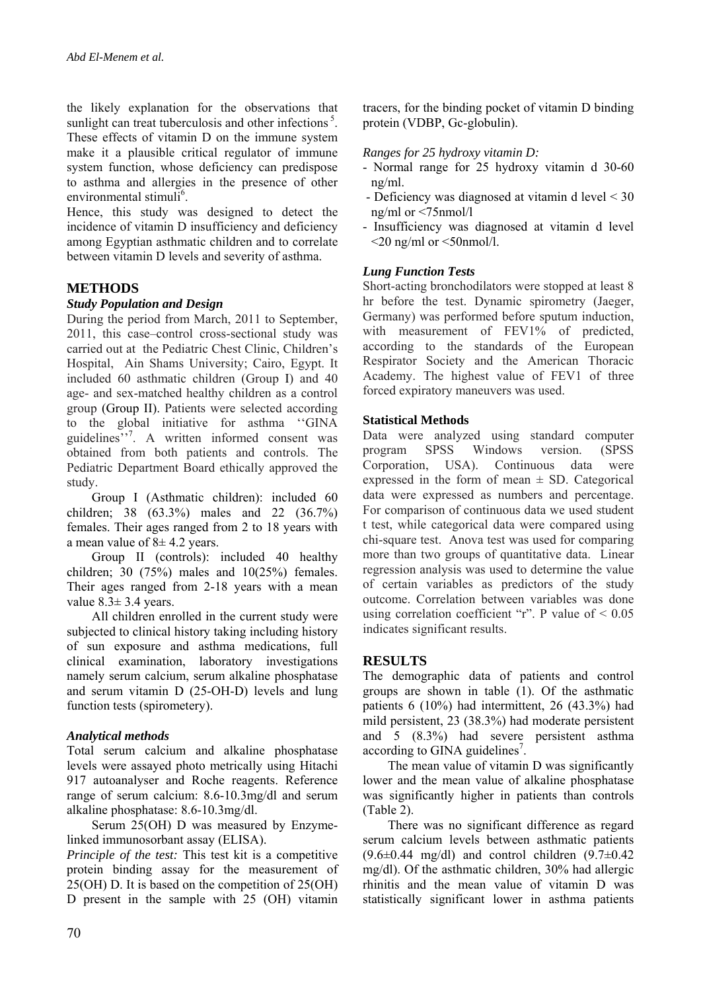the likely explanation for the observations that sunlight can treat tuberculosis and other infections<sup>5</sup>. These effects of vitamin D on the immune system make it a plausible critical regulator of immune system function, whose deficiency can predispose to asthma and allergies in the presence of other environmental stimuli<sup>6</sup>.

Hence, this study was designed to detect the incidence of vitamin D insufficiency and deficiency among Egyptian asthmatic children and to correlate between vitamin D levels and severity of asthma.

## **METHODS**

#### *Study Population and Design*

During the period from March, 2011 to September, 2011, this case–control cross-sectional study was carried out at the Pediatric Chest Clinic, Children's Hospital, Ain Shams University; Cairo, Egypt. It included 60 asthmatic children (Group I) and 40 age- and sex-matched healthy children as a control group (Group II). Patients were selected according to the global initiative for asthma ''GINA guidelines"<sup>7</sup>. A written informed consent was obtained from both patients and controls. The Pediatric Department Board ethically approved the study.

Group I (Asthmatic children): included 60 children; 38 (63.3%) males and 22 (36.7%) females. Their ages ranged from 2 to 18 years with a mean value of  $8\pm 4.2$  years.

Group II (controls): included 40 healthy children; 30  $(75%)$  males and  $10(25%)$  females. Their ages ranged from 2-18 years with a mean value  $8.3 \pm 3.4$  years.

All children enrolled in the current study were subjected to clinical history taking including history of sun exposure and asthma medications, full clinical examination, laboratory investigations namely serum calcium, serum alkaline phosphatase and serum vitamin D (25-OH-D) levels and lung function tests (spirometery).

#### *Analytical methods*

Total serum calcium and alkaline phosphatase levels were assayed photo metrically using Hitachi 917 autoanalyser and Roche reagents. Reference range of serum calcium: 8.6-10.3mg/dl and serum alkaline phosphatase: 8.6-10.3mg/dl.

Serum 25(OH) D was measured by Enzymelinked immunosorbant assay (ELISA).

*Principle of the test:* This test kit is a competitive protein binding assay for the measurement of 25(OH) D. It is based on the competition of 25(OH) D present in the sample with 25 (OH) vitamin

tracers, for the binding pocket of vitamin D binding protein (VDBP, Gc-globulin).

#### *Ranges for 25 hydroxy vitamin D:*

- Normal range for 25 hydroxy vitamin d 30-60 ng/ml.
- Deficiency was diagnosed at vitamin d level < 30 ng/ml or <75nmol/l
- Insufficiency was diagnosed at vitamin d level  $\leq$ 20 ng/ml or  $\leq$ 50nmol/l.

#### *Lung Function Tests*

Short-acting bronchodilators were stopped at least 8 hr before the test. Dynamic spirometry (Jaeger, Germany) was performed before sputum induction, with measurement of FEV1% of predicted, according to the standards of the European Respirator Society and the American Thoracic Academy. The highest value of FEV1 of three forced expiratory maneuvers was used.

#### **Statistical Methods**

Data were analyzed using standard computer program SPSS Windows version. (SPSS Corporation, USA). Continuous data were expressed in the form of mean  $\pm$  SD. Categorical data were expressed as numbers and percentage. For comparison of continuous data we used student t test, while categorical data were compared using chi-square test. Anova test was used for comparing more than two groups of quantitative data. Linear regression analysis was used to determine the value of certain variables as predictors of the study outcome. Correlation between variables was done using correlation coefficient "r". P value of  $\leq 0.05$ indicates significant results.

#### **RESULTS**

The demographic data of patients and control groups are shown in table (1). Of the asthmatic patients 6 (10%) had intermittent, 26 (43.3%) had mild persistent, 23 (38.3%) had moderate persistent and 5 (8.3%) had severe persistent asthma according to GINA guidelines<sup>7</sup>.

The mean value of vitamin D was significantly lower and the mean value of alkaline phosphatase was significantly higher in patients than controls (Table 2).

There was no significant difference as regard serum calcium levels between asthmatic patients  $(9.6\pm0.44 \text{ mg/dl})$  and control children  $(9.7\pm0.42 \text{ g})$ mg/dl). Of the asthmatic children, 30% had allergic rhinitis and the mean value of vitamin D was statistically significant lower in asthma patients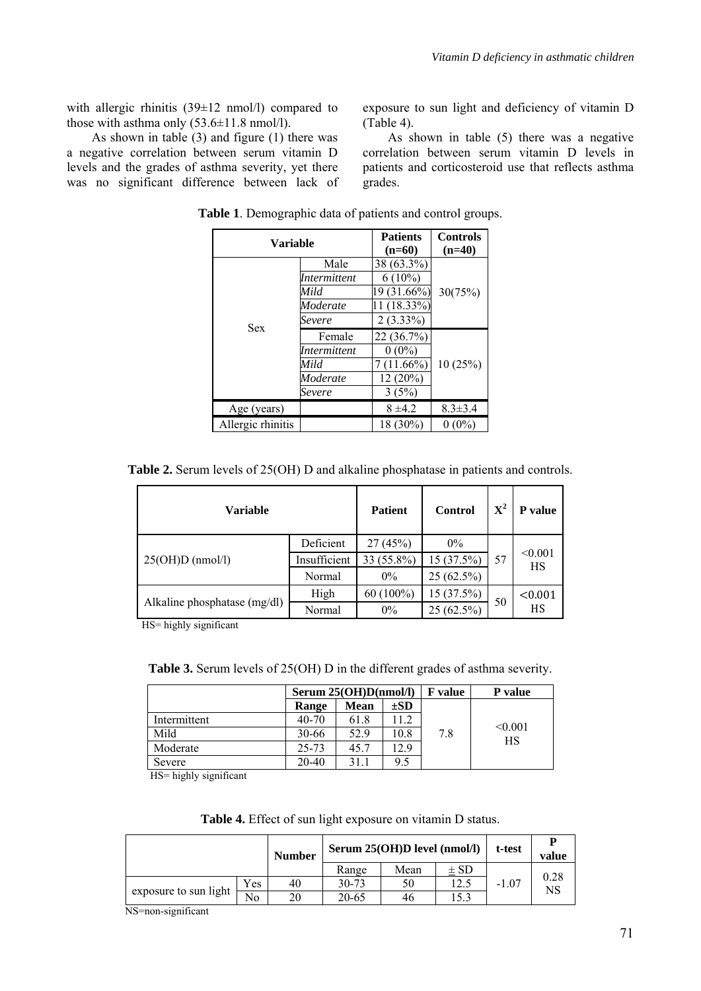with allergic rhinitis  $(39\pm 12 \text{ nmol/l})$  compared to those with asthma only  $(53.6\pm11.8 \text{ nmol/l})$ .

As shown in table (3) and figure (1) there was a negative correlation between serum vitamin D levels and the grades of asthma severity, yet there was no significant difference between lack of exposure to sun light and deficiency of vitamin D (Table 4).

As shown in table (5) there was a negative correlation between serum vitamin D levels in patients and corticosteroid use that reflects asthma grades.

| Variable          |                                                 | <b>Patients</b><br>$(n=60)$                           | <b>Controls</b><br>$(n=40)$ |  |
|-------------------|-------------------------------------------------|-------------------------------------------------------|-----------------------------|--|
|                   | Male<br><i>Intermittent</i><br>Mild<br>Moderate | 38 (63.3%)<br>$6(10\%)$<br>19 (31.66%)<br>11 (18.33%) | 30(75%)                     |  |
| Sex               | Severe<br>Female                                | $2(3.33\%)$<br>22 (36.7%)                             |                             |  |
|                   | <i>Intermittent</i><br>Mild                     | $0(0\%)$<br>$(11.66\%)$                               | 10(25%)                     |  |
|                   | Moderate<br>Severe                              | 12(20%)<br>3(5%)                                      |                             |  |
| Age (years)       |                                                 | $8 + 4.2$                                             | $8.3 \pm 3.4$               |  |
| Allergic rhinitis |                                                 | 18 (30%)                                              | $0(0\%)$                    |  |

**Table 1**. Demographic data of patients and control groups.

| <b>Table 2.</b> Serum levels of 25(OH) D and alkaline phosphatase in patients and controls. |  |  |  |  |  |
|---------------------------------------------------------------------------------------------|--|--|--|--|--|
|---------------------------------------------------------------------------------------------|--|--|--|--|--|

| <b>Variable</b>              |              | <b>Patient</b> | Control      | ${\bf X}^2$ | P value       |
|------------------------------|--------------|----------------|--------------|-------------|---------------|
|                              | Deficient    | 27(45%)        | $0\%$        |             | < 0.001<br>HS |
| $25(OH)D$ (nmol/l)           | Insufficient | 33 (55.8%)     | 15 (37.5%)   | 57          |               |
|                              | Normal       | $0\%$          | $25(62.5\%)$ |             |               |
|                              | High         | $60(100\%)$    | 15(37.5%)    | 50          | < 0.001       |
| Alkaline phosphatase (mg/dl) | Normal       | $0\%$          | $25(62.5\%)$ |             | HS            |

HS= highly significant

**Table 3.** Serum levels of 25(OH) D in the different grades of asthma severity.

|              | Serum $25(OH)D(nmol/l)$ |      |          | F value | P value       |  |
|--------------|-------------------------|------|----------|---------|---------------|--|
|              | Range                   | Mean | $\pm SD$ |         |               |  |
| Intermittent | $40 - 70$               | 61.8 |          |         |               |  |
| Mild         | 30-66                   | 52.9 | 10.8     | 7.8     | < 0.001<br>HS |  |
| Moderate     | $25 - 73$               | 45.7 | 2.9      |         |               |  |
| Severe       | $20 - 40$               | 31.1 | 9.5      |         |               |  |

HS= highly significant

**Table 4.** Effect of sun light exposure on vitamin D status.

|                       |                | <b>Number</b> | Serum 25(OH)D level (nmol/l) | t-test | D<br>value |         |      |
|-----------------------|----------------|---------------|------------------------------|--------|------------|---------|------|
|                       |                |               | Range                        | Mean   | $\pm$ SD   |         | 0.28 |
|                       | Yes            | 40            | $30 - 73$                    | 50     | 2.3        | $-1.07$ | NS   |
| exposure to sun light | N <sub>o</sub> | 20            | 20-65                        | 46     | .5.3       |         |      |

NS=non-significant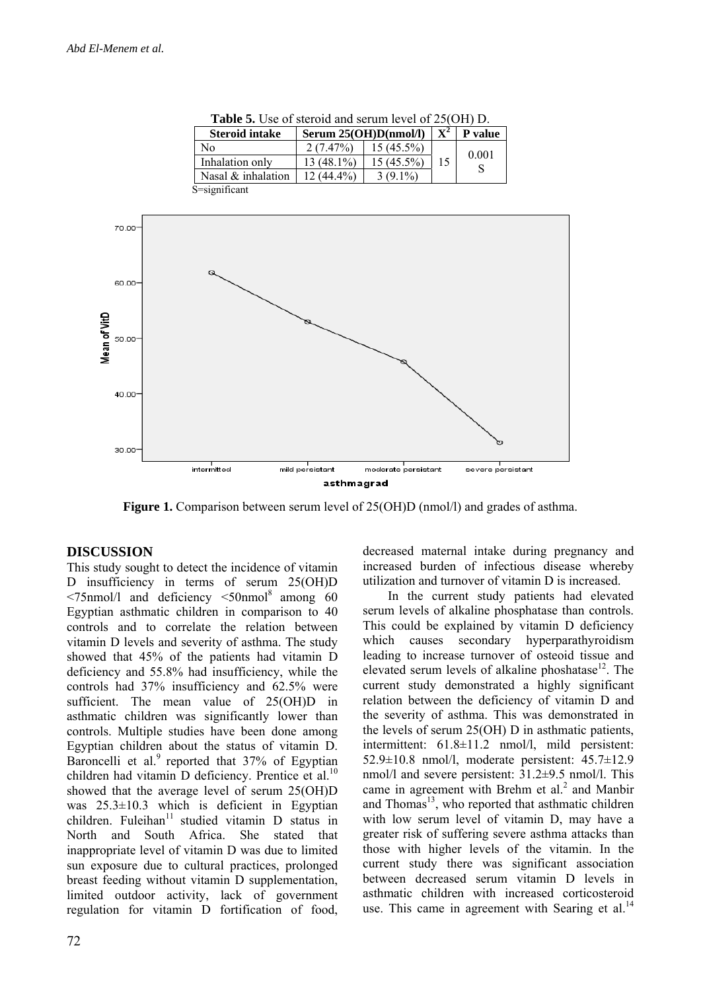|              |        | Inhalation only    | $13(48.1\%)$            | $15(45.5\%)$        | 15 | 0.001<br>${\bf S}$ |  |
|--------------|--------|--------------------|-------------------------|---------------------|----|--------------------|--|
|              |        | Nasal & inhalation | $12\overline{(44.4\%)}$ | $3(9.1\%)$          |    |                    |  |
|              |        | S=significant      |                         |                     |    |                    |  |
|              |        |                    |                         |                     |    |                    |  |
|              | 70.00  |                    |                         |                     |    |                    |  |
|              | 60.00- |                    |                         |                     |    |                    |  |
| Mean of VitD | 50.00- |                    |                         |                     |    |                    |  |
|              | 40.00- |                    |                         |                     |    |                    |  |
|              | 30.00  |                    |                         |                     |    |                    |  |
|              |        | intermitted        | mild persistant         | moderate persistant |    | severe persistant  |  |
|              |        |                    | asthmagrad              |                     |    |                    |  |

**Table 5.** Use of steroid and serum level of 25(OH) D. **Steroid intake**  $\left| \right.$  **Serum 25(OH)D(nmol/l)**  $\left| \right.$  **X**<sup>2</sup>  $\left| \right.$  **P** value

No 2  $(7.47\%)$  15  $(45.5\%)$ 

**Figure 1.** Comparison between serum level of 25(OH)D (nmol/l) and grades of asthma.

#### **DISCUSSION**

This study sought to detect the incidence of vitamin D insufficiency in terms of serum 25(OH)D  $\leq$ 75nmol/l and deficiency  $\leq$ 50nmol<sup>8</sup> among 60 Egyptian asthmatic children in comparison to 40 controls and to correlate the relation between vitamin D levels and severity of asthma. The study showed that 45% of the patients had vitamin D deficiency and 55.8% had insufficiency, while the controls had 37% insufficiency and 62.5% were sufficient. The mean value of 25(OH)D in asthmatic children was significantly lower than controls. Multiple studies have been done among Egyptian children about the status of vitamin D. Baroncelli et al. $9$  reported that 37% of Egyptian children had vitamin D deficiency. Prentice et al. $^{10}$ showed that the average level of serum 25(OH)D was  $25.3\pm10.3$  which is deficient in Egyptian children. Fuleihan $11$  studied vitamin D status in North and South Africa. She stated that inappropriate level of vitamin D was due to limited sun exposure due to cultural practices, prolonged breast feeding without vitamin D supplementation, limited outdoor activity, lack of government regulation for vitamin D fortification of food, decreased maternal intake during pregnancy and increased burden of infectious disease whereby utilization and turnover of vitamin D is increased.

 $15\begin{array}{|c} 0.001 \\ S \end{array}$ 

In the current study patients had elevated serum levels of alkaline phosphatase than controls. This could be explained by vitamin D deficiency which causes secondary hyperparathyroidism leading to increase turnover of osteoid tissue and elevated serum levels of alkaline phoshatase $^{12}$ . The current study demonstrated a highly significant relation between the deficiency of vitamin D and the severity of asthma. This was demonstrated in the levels of serum 25(OH) D in asthmatic patients, intermittent: 61.8±11.2 nmol/l, mild persistent: 52.9±10.8 nmol/l, moderate persistent: 45.7±12.9 nmol/l and severe persistent: 31.2±9.5 nmol/l. This came in agreement with Brehm et al.<sup>2</sup> and Manbir and Thomas<sup>13</sup>, who reported that asthmatic children with low serum level of vitamin D, may have a greater risk of suffering severe asthma attacks than those with higher levels of the vitamin. In the current study there was significant association between decreased serum vitamin D levels in asthmatic children with increased corticosteroid use. This came in agreement with Searing et al. $^{14}$